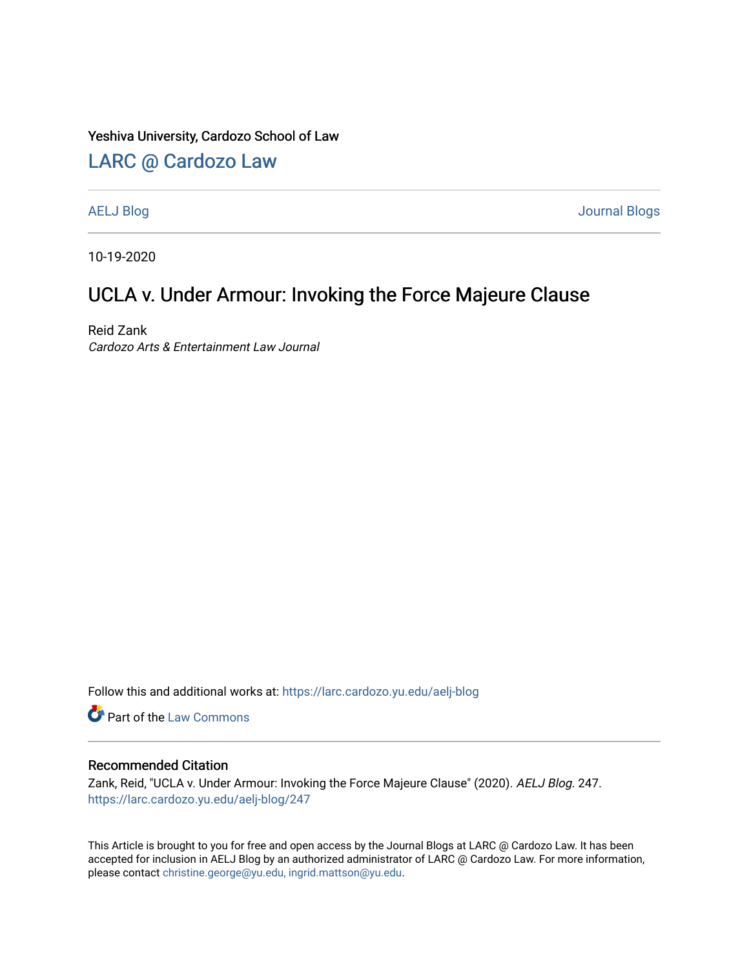#### Yeshiva University, Cardozo School of Law

### [LARC @ Cardozo Law](https://larc.cardozo.yu.edu/)

[AELJ Blog](https://larc.cardozo.yu.edu/aelj-blog) [Journal Blogs](https://larc.cardozo.yu.edu/journal-blogs) 

10-19-2020

# UCLA v. Under Armour: Invoking the Force Majeure Clause

Reid Zank Cardozo Arts & Entertainment Law Journal

Follow this and additional works at: [https://larc.cardozo.yu.edu/aelj-blog](https://larc.cardozo.yu.edu/aelj-blog?utm_source=larc.cardozo.yu.edu%2Faelj-blog%2F247&utm_medium=PDF&utm_campaign=PDFCoverPages) 

Part of the [Law Commons](http://network.bepress.com/hgg/discipline/578?utm_source=larc.cardozo.yu.edu%2Faelj-blog%2F247&utm_medium=PDF&utm_campaign=PDFCoverPages)

#### Recommended Citation

Zank, Reid, "UCLA v. Under Armour: Invoking the Force Majeure Clause" (2020). AELJ Blog. 247. [https://larc.cardozo.yu.edu/aelj-blog/247](https://larc.cardozo.yu.edu/aelj-blog/247?utm_source=larc.cardozo.yu.edu%2Faelj-blog%2F247&utm_medium=PDF&utm_campaign=PDFCoverPages) 

This Article is brought to you for free and open access by the Journal Blogs at LARC @ Cardozo Law. It has been accepted for inclusion in AELJ Blog by an authorized administrator of LARC @ Cardozo Law. For more information, please contact [christine.george@yu.edu, ingrid.mattson@yu.edu.](mailto:christine.george@yu.edu,%20ingrid.mattson@yu.edu)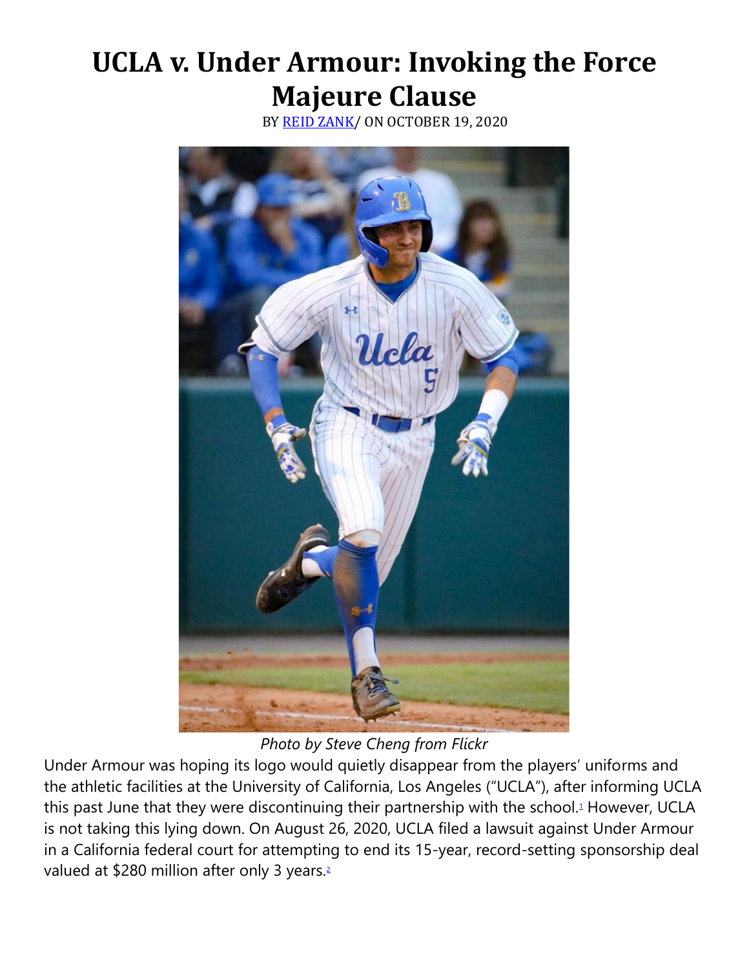# **UCLA v. Under Armour: Invoking the Force Majeure Clause**

BY [REID ZANK/](https://cardozoaelj.com/author/reid-zank/) ON OCTOBER 19, 2020



*Photo by Steve Cheng from Flickr*

Under Armour was hoping its logo would quietly disappear from the players' uniforms and the athletic facilities at the University of California, Los Angeles ("UCLA"), after informing UCLA this past June that they were discontinuing their partnership with the school[.](https://cardozoaelj.com/2020/10/19/ucla-v-under-armour-invoking-the-force-majeure-clause/#easy-footnote-bottom-1-6486)<sup>1</sup> However, UCLA is not taking this lying down. On August 26, 2020, UCLA filed a lawsuit against Under Armour in a California federal court for attempting to end its 15-year, record-setting sponsorship deal valued at \$280 million after only 3 years[.](https://cardozoaelj.com/2020/10/19/ucla-v-under-armour-invoking-the-force-majeure-clause/#easy-footnote-bottom-2-6486)<sup>2</sup>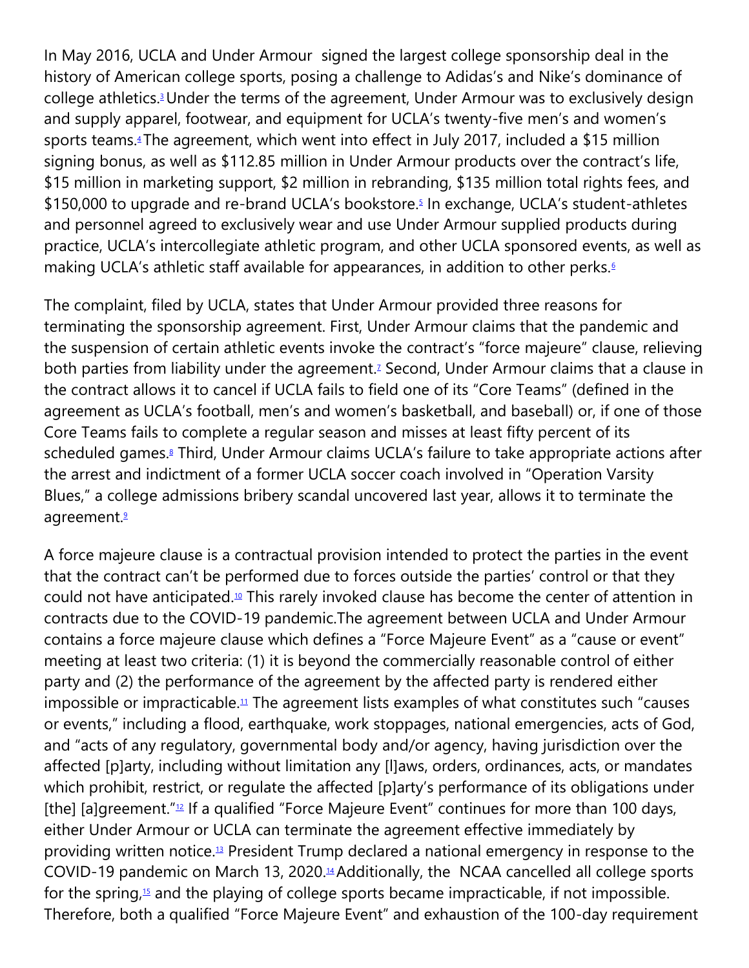In May 2016, UCLA and Under Armour signed the largest college sponsorship deal in the history of American college sports, posing a challenge to Adidas's and Nike's dominance of college athletics[.](https://cardozoaelj.com/2020/10/19/ucla-v-under-armour-invoking-the-force-majeure-clause/#easy-footnote-bottom-3-6486)<sup>3</sup> Under the terms of the agreement, Under Armour was to exclusively design and supply apparel, footwear, and equipment for UCLA's twenty-five men's and women's sports teams[.](https://cardozoaelj.com/2020/10/19/ucla-v-under-armour-invoking-the-force-majeure-clause/#easy-footnote-bottom-4-6486)<sup>4</sup> The agreement, which went into effect in July 2017, included a \$15 million signing bonus, as well as \$112.85 million in Under Armour products over the contract's life, \$15 million in marketing support, \$2 million in rebranding, \$135 million total rights fees, and \$150,000 to upgrade and re-brand UCLA's bookstore[.](https://cardozoaelj.com/2020/10/19/ucla-v-under-armour-invoking-the-force-majeure-clause/#easy-footnote-bottom-5-6486)<sup>5</sup> In exchange, UCLA's student-athletes and personnel agreed to exclusively wear and use Under Armour supplied products during practice, UCLA's intercollegiate athletic program, and other UCLA sponsored events, as well as making UCLA's athletic staff available for appearances, in addition to other perks[.](https://cardozoaelj.com/2020/10/19/ucla-v-under-armour-invoking-the-force-majeure-clause/#easy-footnote-bottom-6-6486)<sup>6</sup>

The complaint, filed by UCLA, states that Under Armour provided three reasons for terminating the sponsorship agreement. First, Under Armour claims that the pandemic and the suspension of certain athletic events invoke the contract's "force majeure" clause, relieving both parties from liability under the agreement[.](https://cardozoaelj.com/2020/10/19/ucla-v-under-armour-invoking-the-force-majeure-clause/#easy-footnote-bottom-7-6486)<sup>7</sup> Second, Under Armour claims that a clause in the contract allows it to cancel if UCLA fails to field one of its "Core Teams" (defined in the agreement as UCLA's football, men's and women's basketball, and baseball) or, if one of those Core Teams fails to complete a regular season and misses at least fifty percent of its scheduled games[.](https://cardozoaelj.com/2020/10/19/ucla-v-under-armour-invoking-the-force-majeure-clause/#easy-footnote-bottom-8-6486)<sup>8</sup> Third, Under Armour claims UCLA's failure to take appropriate actions after the arrest and indictment of a former UCLA soccer coach involved in "Operation Varsity Blues," a college admissions bribery scandal uncovered last year, allows it to terminate the agreement[.](https://cardozoaelj.com/2020/10/19/ucla-v-under-armour-invoking-the-force-majeure-clause/#easy-footnote-bottom-9-6486)<sup>9</sup>

A force majeure clause is a contractual provision intended to protect the parties in the event that the contract can't be performed due to forces outside the parties' control or that they could not have anticipated.<sup>[10](https://cardozoaelj.com/2020/10/19/ucla-v-under-armour-invoking-the-force-majeure-clause/#easy-footnote-bottom-10-6486)</sup> This rarely invoked clause has become the center of attention in contracts due to the COVID-19 pandemic.The agreement between UCLA and Under Armour contains a force majeure clause which defines a "Force Majeure Event" as a "cause or event" meeting at least two criteria: (1) it is beyond the commercially reasonable control of either party and (2) the performance of the agreement by the affected party is rendered either impossible or impracticable.<sup>[11](https://cardozoaelj.com/2020/10/19/ucla-v-under-armour-invoking-the-force-majeure-clause/#easy-footnote-bottom-11-6486)</sup> The agreement lists examples of what constitutes such "causes or events," including a flood, earthquake, work stoppages, national emergencies, acts of God, and "acts of any regulatory, governmental body and/or agency, having jurisdiction over the affected [p]arty, including without limitation any [l]aws, orders, ordinances, acts, or mandates which prohibit, restrict, or regulate the affected [p]arty's performance of its obligations under [the] [a]greement.  $n_2$  If a qualified "Force Majeure Event" continues for more than 100 days, either Under Armour or UCLA can terminate the agreement effective immediately by providing written notice.[13](https://cardozoaelj.com/2020/10/19/ucla-v-under-armour-invoking-the-force-majeure-clause/#easy-footnote-bottom-13-6486) President Trump declared a national emergency in response to the COVID-19 pandemic on March 13, 2020.[14](https://cardozoaelj.com/2020/10/19/ucla-v-under-armour-invoking-the-force-majeure-clause/#easy-footnote-bottom-14-6486)Additionally, the NCAA cancelled all college sports for the spring, $15$  and the playing of college sports became impracticable, if not impossible. Therefore, both a qualified "Force Majeure Event" and exhaustion of the 100-day requirement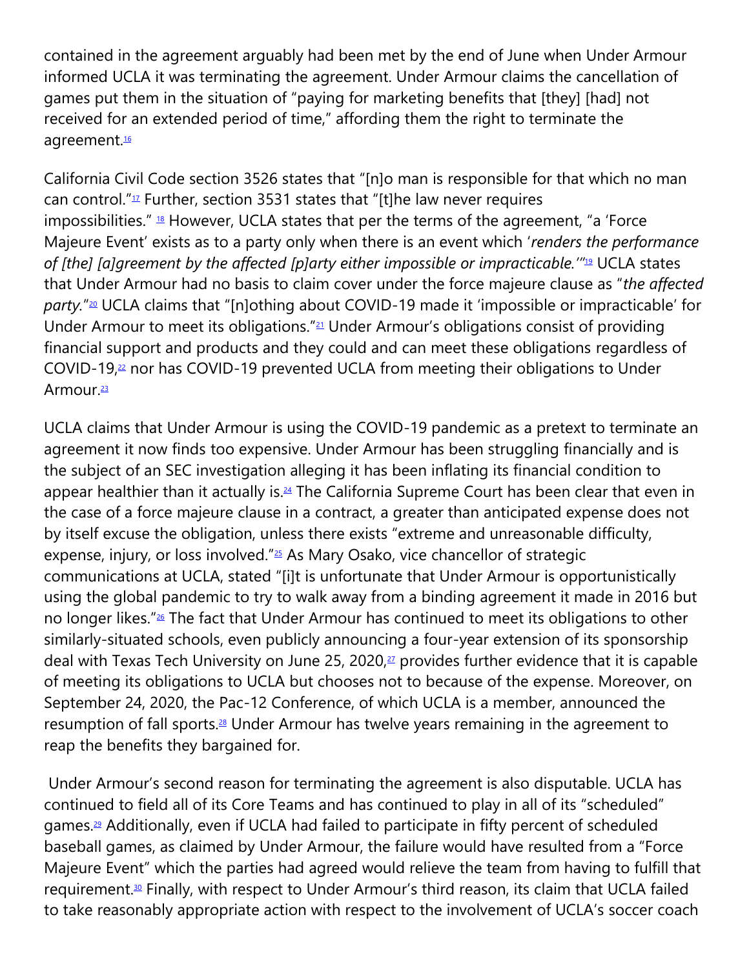contained in the agreement arguably had been met by the end of June when Under Armour informed UCLA it was terminating the agreement. Under Armour claims the cancellation of games put them in the situation of "paying for marketing benefits that [they] [had] not received for an extended period of time," affording them the right to terminate the agreement.<sup>[16](https://cardozoaelj.com/2020/10/19/ucla-v-under-armour-invoking-the-force-majeure-clause/#easy-footnote-bottom-16-6486)</sup>

California Civil Code section 3526 states that "[n]o man is responsible for that which no man can control." $12$  Further, section 3531 states that "[t]he law never requires impossibilities." <sup>[18](https://cardozoaelj.com/2020/10/19/ucla-v-under-armour-invoking-the-force-majeure-clause/#easy-footnote-bottom-18-6486)</sup> However, UCLA states that per the terms of the agreement, "a 'Force Majeure Event' exists as to a party only when there is an event which '*renders the performance of [the] [a]greement by the affected [p]arty either impossible or impracticable.'"*[19](https://cardozoaelj.com/2020/10/19/ucla-v-under-armour-invoking-the-force-majeure-clause/#easy-footnote-bottom-19-6486) UCLA states that Under Armour had no basis to claim cover under the force majeure clause as "*the affected* party."<sup>[20](https://cardozoaelj.com/2020/10/19/ucla-v-under-armour-invoking-the-force-majeure-clause/#easy-footnote-bottom-20-6486)</sup> UCLA claims that "[n]othing about COVID-19 made it 'impossible or impracticable' for Under Armour to meet its obligations."<sup>[21](https://cardozoaelj.com/2020/10/19/ucla-v-under-armour-invoking-the-force-majeure-clause/#easy-footnote-bottom-21-6486)</sup> Under Armour's obligations consist of providing financial support and products and they could and can meet these obligations regardless of COVID-19,<sup>[22](https://cardozoaelj.com/2020/10/19/ucla-v-under-armour-invoking-the-force-majeure-clause/#easy-footnote-bottom-22-6486)</sup> nor has COVID-19 prevented UCLA from meeting their obligations to Under Armour.<sup>[23](https://cardozoaelj.com/2020/10/19/ucla-v-under-armour-invoking-the-force-majeure-clause/#easy-footnote-bottom-23-6486)</sup>

UCLA claims that Under Armour is using the COVID-19 pandemic as a pretext to terminate an agreement it now finds too expensive. Under Armour has been struggling financially and is the subject of an SEC investigation alleging it has been inflating its financial condition to appear healthier than it actually is.<sup>[24](https://cardozoaelj.com/2020/10/19/ucla-v-under-armour-invoking-the-force-majeure-clause/#easy-footnote-bottom-24-6486)</sup> The California Supreme Court has been clear that even in the case of a force majeure clause in a contract, a greater than anticipated expense does not by itself excuse the obligation, unless there exists "extreme and unreasonable difficulty, expense, injury, or loss involved."[25](https://cardozoaelj.com/2020/10/19/ucla-v-under-armour-invoking-the-force-majeure-clause/#easy-footnote-bottom-25-6486) As Mary Osako, vice chancellor of strategic communications at UCLA, stated "[i]t is unfortunate that Under Armour is opportunistically using the global pandemic to try to walk away from a binding agreement it made in 2016 but no longer likes."[26](https://cardozoaelj.com/2020/10/19/ucla-v-under-armour-invoking-the-force-majeure-clause/#easy-footnote-bottom-26-6486) The fact that Under Armour has continued to meet its obligations to other similarly-situated schools, even publicly announcing a four-year extension of its sponsorship deal with Texas Tech University on June 25, 2020, $27$  provides further evidence that it is capable of meeting its obligations to UCLA but chooses not to because of the expense. Moreover, on September 24, 2020, the Pac-12 Conference, of which UCLA is a member, announced the resumption of fall sports.<sup>[28](https://cardozoaelj.com/2020/10/19/ucla-v-under-armour-invoking-the-force-majeure-clause/#easy-footnote-bottom-28-6486)</sup> Under Armour has twelve years remaining in the agreement to reap the benefits they bargained for.

Under Armour's second reason for terminating the agreement is also disputable. UCLA has continued to field all of its Core Teams and has continued to play in all of its "scheduled" games.<sup>[29](https://cardozoaelj.com/2020/10/19/ucla-v-under-armour-invoking-the-force-majeure-clause/#easy-footnote-bottom-29-6486)</sup> Additionally, even if UCLA had failed to participate in fifty percent of scheduled baseball games, as claimed by Under Armour, the failure would have resulted from a "Force Majeure Event" which the parties had agreed would relieve the team from having to fulfill that requirement.<sup>[30](https://cardozoaelj.com/2020/10/19/ucla-v-under-armour-invoking-the-force-majeure-clause/#easy-footnote-bottom-30-6486)</sup> Finally, with respect to Under Armour's third reason, its claim that UCLA failed to take reasonably appropriate action with respect to the involvement of UCLA's soccer coach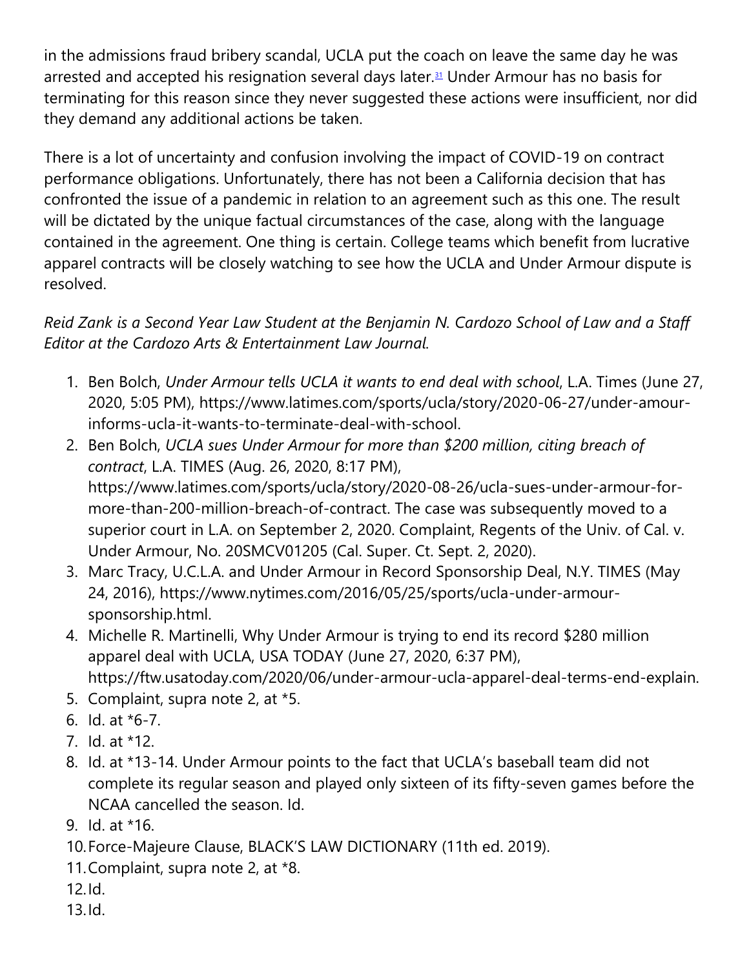in the admissions fraud bribery scandal, UCLA put the coach on leave the same day he was arrested and accepted his resignation several days later.<sup>[31](https://cardozoaelj.com/2020/10/19/ucla-v-under-armour-invoking-the-force-majeure-clause/#easy-footnote-bottom-31-6486)</sup> Under Armour has no basis for terminating for this reason since they never suggested these actions were insufficient, nor did they demand any additional actions be taken.

There is a lot of uncertainty and confusion involving the impact of COVID-19 on contract performance obligations. Unfortunately, there has not been a California decision that has confronted the issue of a pandemic in relation to an agreement such as this one. The result will be dictated by the unique factual circumstances of the case, along with the language contained in the agreement. One thing is certain. College teams which benefit from lucrative apparel contracts will be closely watching to see how the UCLA and Under Armour dispute is resolved.

## *Reid Zank is a Second Year Law Student at the Benjamin N. Cardozo School of Law and a Staff Editor at the Cardozo Arts & Entertainment Law Journal.*

- 1. Ben Bolch, *Under Armour tells UCLA it wants to end deal with school*, L.A. Times (June 27, 2020, 5:05 PM), https://www.latimes.com/sports/ucla/story/2020-06-27/under-amourinforms-ucla-it-wants-to-terminate-deal-with-school.
- 2. Ben Bolch, *UCLA sues Under Armour for more than \$200 million, citing breach of contract*, L.A. TIMES (Aug. 26, 2020, 8:17 PM), https://www.latimes.com/sports/ucla/story/2020-08-26/ucla-sues-under-armour-formore-than-200-million-breach-of-contract. The case was subsequently moved to a superior court in L.A. on September 2, 2020. Complaint, Regents of the Univ. of Cal. v. Under Armour, No. 20SMCV01205 (Cal. Super. Ct. Sept. 2, 2020).
- 3. Marc Tracy, U.C.L.A. and Under Armour in Record Sponsorship Deal, N.Y. TIMES (May 24, 2016), https://www.nytimes.com/2016/05/25/sports/ucla-under-armoursponsorship.html.
- 4. Michelle R. Martinelli, Why Under Armour is trying to end its record \$280 million apparel deal with UCLA, USA TODAY (June 27, 2020, 6:37 PM), https://ftw.usatoday.com/2020/06/under-armour-ucla-apparel-deal-terms-end-explain.
- 5. Complaint, supra note 2, at \*5.
- 6. Id. at \*6-7.
- 7. Id. at \*12.
- 8. Id. at \*13-14. Under Armour points to the fact that UCLA's baseball team did not complete its regular season and played only sixteen of its fifty-seven games before the NCAA cancelled the season. Id.
- 9. Id. at \*16.
- 10.Force-Majeure Clause, BLACK'S LAW DICTIONARY (11th ed. 2019).
- 11.Complaint, supra note 2, at \*8.
- 12.Id.
- 13.Id.